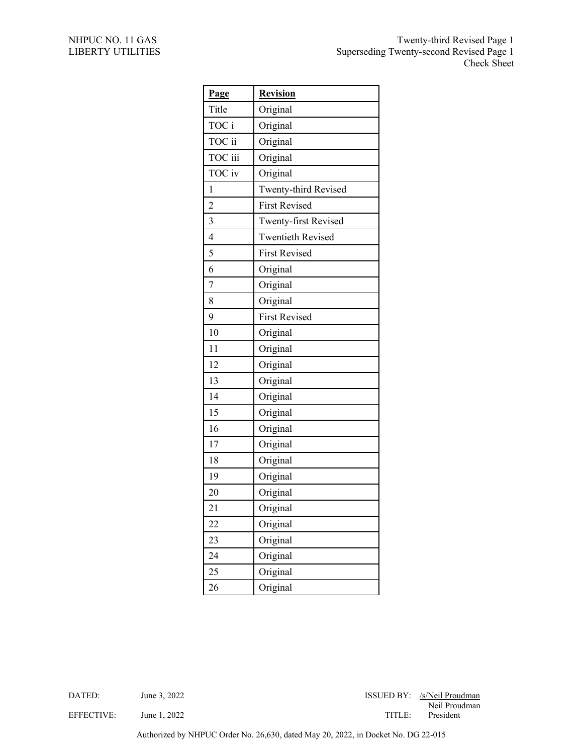| Page           | <b>Revision</b>             |
|----------------|-----------------------------|
| Title          | Original                    |
| TOC i          | Original                    |
| TOC ii         | Original                    |
| TOC iii        | Original                    |
| TOC iv         | Original                    |
| 1              | Twenty-third Revised        |
| $\overline{2}$ | <b>First Revised</b>        |
| $\overline{3}$ | <b>Twenty-first Revised</b> |
| $\overline{4}$ | <b>Twentieth Revised</b>    |
| 5              | <b>First Revised</b>        |
| 6              | Original                    |
| $\overline{7}$ | Original                    |
| 8              | Original                    |
| 9              | <b>First Revised</b>        |
| 10             | Original                    |
| 11             | Original                    |
| 12             | Original                    |
| 13             | Original                    |
| 14             | Original                    |
| 15             | Original                    |
| 16             | Original                    |
| 17             | Original                    |
| 18             | Original                    |
| 19             | Original                    |
| 20             | Original                    |
| 21             | Original                    |
| 22             | Original                    |
| 23             | Original                    |
| 24             | Original                    |
| 25             | Original                    |
| 26             | Original                    |

DATED: June 3, 2022 June 2022 June 2022 June 2022 June 2022 June 2022 June 2022 June 2022 June 2022 June 2022 June 2022 June 2022 June 2022 June 2022 June 2022 June 2022 June 2022 June 2022 June 2022 June 2022 June 2022 Ju Neil Proudman EFFECTIVE: June 1, 2022 June 1, 2022 TITLE: President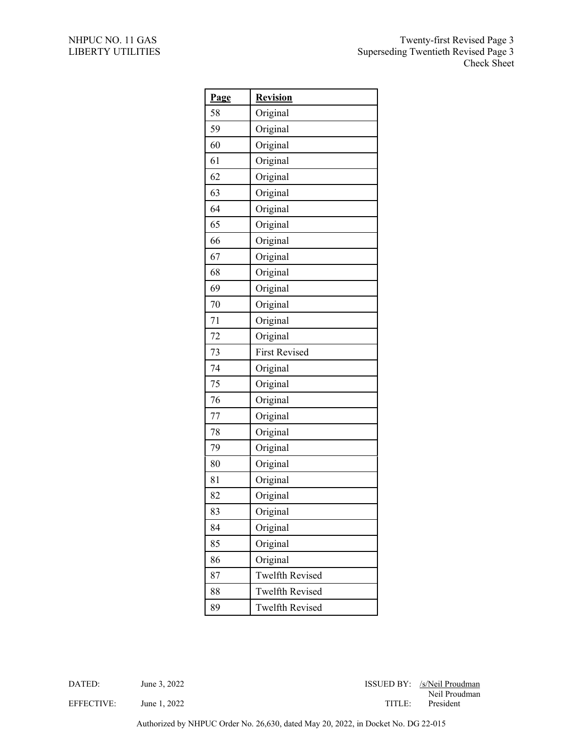| Page | <b>Revision</b>        |
|------|------------------------|
| 58   | Original               |
| 59   | Original               |
| 60   | Original               |
| 61   | Original               |
| 62   | Original               |
| 63   | Original               |
| 64   | Original               |
| 65   | Original               |
| 66   | Original               |
| 67   | Original               |
| 68   | Original               |
| 69   | Original               |
| 70   | Original               |
| 71   | Original               |
| 72   | Original               |
| 73   | <b>First Revised</b>   |
| 74   | Original               |
| 75   | Original               |
| 76   | Original               |
| 77   | Original               |
| 78   | Original               |
| 79   | Original               |
| 80   | Original               |
| 81   | Original               |
| 82   | Original               |
| 83   | Original               |
| 84   | Original               |
| 85   | Original               |
| 86   | Original               |
| 87   | <b>Twelfth Revised</b> |
| 88   | <b>Twelfth Revised</b> |
| 89   | <b>Twelfth Revised</b> |

DATED: June 3, 2022 June 2022 June 2022 June 2022 June 2022 June 2022 June 2022 June 2022 June 2022 June 2022 June 2022 June 2022 June 2022 June 2022 June 2022 June 2022 June 2022 June 2022 June 2022 June 2022 June 2022 Ju Neil Proudman

EFFECTIVE: June 1, 2022 TITLE: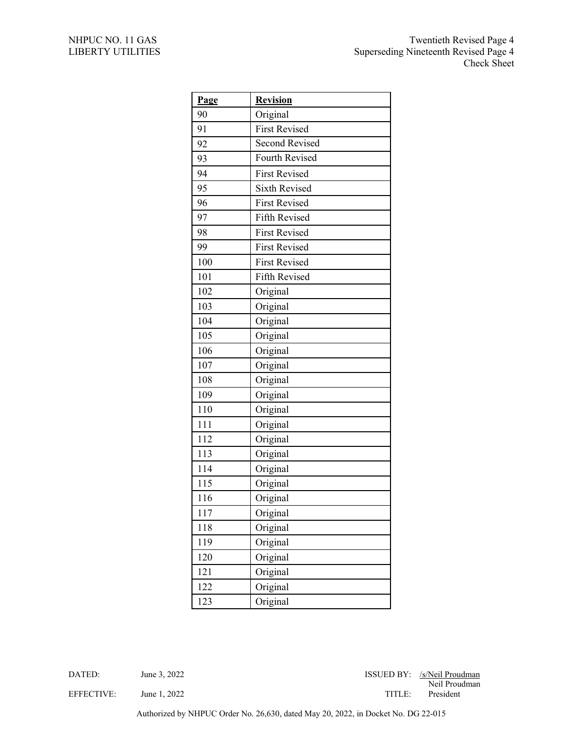| Page | <b>Revision</b>      |
|------|----------------------|
| 90   | Original             |
| 91   | <b>First Revised</b> |
| 92   | Second Revised       |
| 93   | Fourth Revised       |
| 94   | <b>First Revised</b> |
| 95   | <b>Sixth Revised</b> |
| 96   | <b>First Revised</b> |
| 97   | Fifth Revised        |
| 98   | <b>First Revised</b> |
| 99   | <b>First Revised</b> |
| 100  | <b>First Revised</b> |
| 101  | Fifth Revised        |
| 102  | Original             |
| 103  | Original             |
| 104  | Original             |
| 105  | Original             |
| 106  | Original             |
| 107  | Original             |
| 108  | Original             |
| 109  | Original             |
| 110  | Original             |
| 111  | Original             |
| 112  | Original             |
| 113  | Original             |
| 114  | Original             |
| 115  | Original             |
| 116  | Original             |
| 117  | Original             |
| 118  | Original             |
| 119  | Original             |
| 120  | Original             |
| 121  | Original             |
| 122  | Original             |
| 123  | Original             |

DATED: June 3, 2022 June 2022 June 1 and 2022 June 2022 June 2022 June 2022 June 2022 June 2022 June 2022 June 2022 June 2022 June 2022 June 2022 June 2022 June 2022 June 2022 June 2022 June 2022 June 2022 June 2022 June 2 Neil Proudman EFFECTIVE: June 1, 2022 June 1, 2022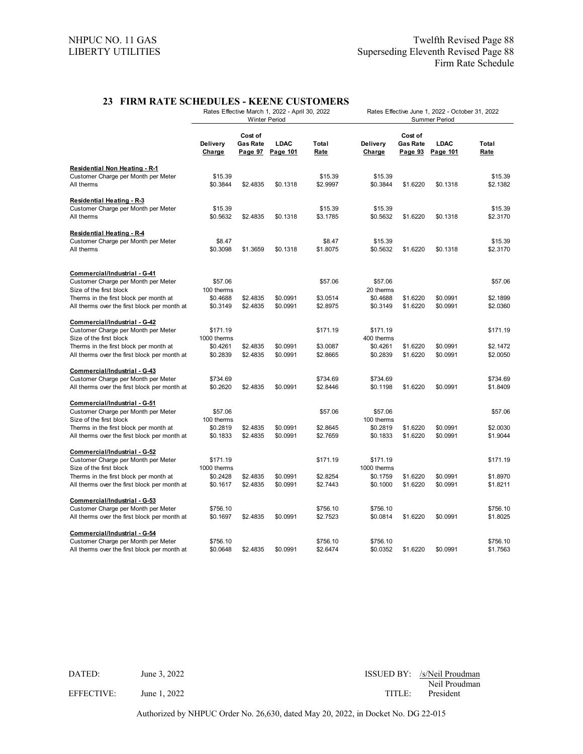## **23 FIRM RATE SCHEDULES - KEENE CUSTOMERS**

|                                                                                     |                       |                            | Rates Effective March 1, 2022 - April 30, 2022<br><b>Winter Period</b> |                      | Rates Effective June 1, 2022 - October 31, 2022<br>Summer Period |                                              |                         |                      |
|-------------------------------------------------------------------------------------|-----------------------|----------------------------|------------------------------------------------------------------------|----------------------|------------------------------------------------------------------|----------------------------------------------|-------------------------|----------------------|
|                                                                                     | Delivery<br>Charge    | Cost of<br><b>Gas Rate</b> | <b>LDAC</b><br>Page 97 Page 101                                        | Total<br>Rate        | Delivery<br>Charge                                               | Cost of<br><b>Gas Rate</b><br><u>Page 93</u> | <b>LDAC</b><br>Page 101 | Total<br>Rate        |
| <b>Residential Non Heating - R-1</b>                                                |                       |                            |                                                                        |                      |                                                                  |                                              |                         |                      |
| Customer Charge per Month per Meter<br>All therms                                   | \$15.39<br>\$0.3844   | \$2.4835                   | \$0.1318                                                               | \$15.39<br>\$2.9997  | \$15.39<br>\$0.3844                                              | \$1.6220                                     | \$0.1318                | \$15.39<br>\$2.1382  |
| <b>Residential Heating - R-3</b>                                                    |                       |                            |                                                                        |                      |                                                                  |                                              |                         |                      |
| Customer Charge per Month per Meter                                                 | \$15.39               |                            |                                                                        | \$15.39              | \$15.39                                                          |                                              |                         | \$15.39              |
| All therms                                                                          | \$0.5632              | \$2.4835                   | \$0.1318                                                               | \$3.1785             | \$0.5632                                                         | \$1.6220                                     | \$0.1318                | \$2.3170             |
| <b>Residential Heating - R-4</b>                                                    |                       |                            |                                                                        |                      |                                                                  |                                              |                         |                      |
| Customer Charge per Month per Meter                                                 | \$8.47                |                            |                                                                        | \$8.47               | \$15.39                                                          |                                              |                         | \$15.39              |
| All therms                                                                          | \$0.3098              | \$1.3659                   | \$0.1318                                                               | \$1.8075             | \$0.5632                                                         | \$1.6220                                     | \$0.1318                | \$2.3170             |
| Commercial/Industrial - G-41                                                        |                       |                            |                                                                        |                      |                                                                  |                                              |                         |                      |
| Customer Charge per Month per Meter                                                 | \$57.06               |                            |                                                                        | \$57.06              | \$57.06                                                          |                                              |                         | \$57.06              |
| Size of the first block                                                             | 100 therms            |                            |                                                                        |                      | 20 therms                                                        |                                              |                         |                      |
| Therms in the first block per month at                                              | \$0.4688              | \$2.4835                   | \$0.0991                                                               | \$3.0514             | \$0.4688                                                         | \$1.6220                                     | \$0.0991                | \$2.1899             |
| All therms over the first block per month at                                        | \$0.3149              | \$2.4835                   | \$0.0991                                                               | \$2.8975             | \$0.3149                                                         | \$1.6220                                     | \$0.0991                | \$2.0360             |
| Commercial/Industrial - G-42                                                        |                       |                            |                                                                        |                      |                                                                  |                                              |                         |                      |
| Customer Charge per Month per Meter                                                 | \$171.19              |                            |                                                                        | \$171.19             | \$171.19                                                         |                                              |                         | \$171.19             |
| Size of the first block                                                             | 1000 therms           |                            |                                                                        |                      | 400 therms                                                       |                                              |                         |                      |
| Therms in the first block per month at                                              | \$0.4261              | \$2.4835                   | \$0.0991                                                               | \$3.0087             | \$0.4261                                                         | \$1.6220                                     | \$0.0991                | \$2.1472             |
| All therms over the first block per month at                                        | \$0.2839              | \$2.4835                   | \$0.0991                                                               | \$2.8665             | \$0.2839                                                         | \$1.6220                                     | \$0.0991                | \$2.0050             |
| Commercial/Industrial - G-43                                                        |                       |                            |                                                                        |                      |                                                                  |                                              |                         |                      |
| Customer Charge per Month per Meter                                                 | \$734.69              |                            |                                                                        | \$734.69             | \$734.69                                                         |                                              |                         | \$734.69             |
| All therms over the first block per month at                                        | \$0.2620              | \$2.4835                   | \$0.0991                                                               | \$2.8446             | \$0.1198                                                         | \$1.6220                                     | \$0.0991                | \$1.8409             |
| Commercial/Industrial - G-51                                                        |                       |                            |                                                                        |                      |                                                                  |                                              |                         |                      |
| Customer Charge per Month per Meter<br>Size of the first block                      | \$57.06<br>100 therms |                            |                                                                        | \$57.06              | \$57.06<br>100 therms                                            |                                              |                         | \$57.06              |
| Therms in the first block per month at                                              | \$0.2819              | \$2.4835                   | \$0.0991                                                               | \$2.8645             | \$0.2819                                                         | \$1.6220                                     | \$0.0991                | \$2.0030             |
| All therms over the first block per month at                                        | \$0.1833              | \$2.4835                   | \$0.0991                                                               | \$2.7659             | \$0.1833                                                         | \$1.6220                                     | \$0.0991                | \$1.9044             |
| <u>Commercial/Industrial - G-52</u>                                                 |                       |                            |                                                                        |                      |                                                                  |                                              |                         |                      |
| Customer Charge per Month per Meter                                                 | \$171.19              |                            |                                                                        | \$171.19             | \$171.19                                                         |                                              |                         | \$171.19             |
| Size of the first block                                                             | 1000 therms           |                            |                                                                        |                      | 1000 therms                                                      |                                              |                         |                      |
| Therms in the first block per month at                                              | \$0.2428              | \$2.4835                   | \$0.0991                                                               | \$2.8254             | \$0.1759                                                         | \$1.6220                                     | \$0.0991                | \$1.8970             |
| All therms over the first block per month at                                        | \$0.1617              | \$2.4835                   | \$0.0991                                                               | \$2.7443             | \$0.1000                                                         | \$1.6220                                     | \$0.0991                | \$1.8211             |
| Commercial/Industrial - G-53                                                        |                       |                            |                                                                        |                      |                                                                  |                                              |                         |                      |
| Customer Charge per Month per Meter                                                 | \$756.10              |                            |                                                                        | \$756.10             | \$756.10                                                         |                                              |                         | \$756.10             |
| All therms over the first block per month at                                        | \$0.1697              | \$2.4835                   | \$0.0991                                                               | \$2.7523             | \$0.0814                                                         | \$1.6220                                     | \$0.0991                | \$1.8025             |
| Commercial/Industrial - G-54                                                        |                       |                            |                                                                        |                      |                                                                  |                                              |                         |                      |
| Customer Charge per Month per Meter<br>All therms over the first block per month at | \$756.10<br>\$0.0648  | \$2.4835                   | \$0.0991                                                               | \$756.10<br>\$2.6474 | \$756.10<br>\$0.0352                                             | \$1.6220                                     | \$0.0991                | \$756.10<br>\$1.7563 |
|                                                                                     |                       |                            |                                                                        |                      |                                                                  |                                              |                         |                      |

DATED: June 3, 2022 June 2022 June 2022 June 2022 June 2022 June 2022 June 2022 June 2022 June 2022 June 2022 June 2022 June 2022 June 2022 June 2022 June 2022 June 2022 June 2022 June 2022 June 2022 June 2022 June 2022 Ju Neil Proudman EFFECTIVE: June 1, 2022 TITLE: President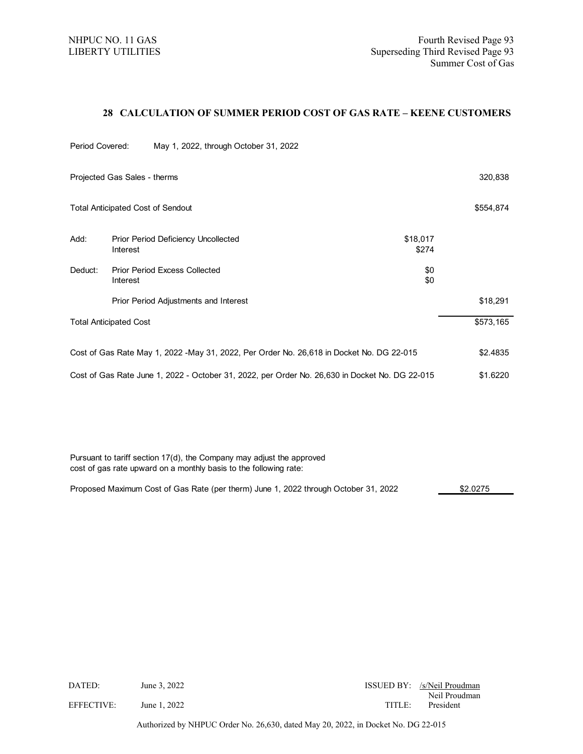## **28 CALCULATION OF SUMMER PERIOD COST OF GAS RATE – KEENE CUSTOMERS**

| Period Covered:                                                                                |                               | May 1, 2022, through October 31, 2022      |                   |           |
|------------------------------------------------------------------------------------------------|-------------------------------|--------------------------------------------|-------------------|-----------|
|                                                                                                | Projected Gas Sales - therms  |                                            |                   | 320,838   |
|                                                                                                |                               | <b>Total Anticipated Cost of Sendout</b>   |                   | \$554,874 |
| Add:                                                                                           | Interest                      | <b>Prior Period Deficiency Uncollected</b> | \$18,017<br>\$274 |           |
| Deduct:                                                                                        | Interest                      | <b>Prior Period Excess Collected</b>       | \$0<br>\$0        |           |
|                                                                                                |                               | Prior Period Adjustments and Interest      |                   | \$18,291  |
|                                                                                                | <b>Total Anticipated Cost</b> |                                            |                   | \$573,165 |
| Cost of Gas Rate May 1, 2022 - May 31, 2022, Per Order No. 26,618 in Docket No. DG 22-015      |                               |                                            | \$2.4835          |           |
| Cost of Gas Rate June 1, 2022 - October 31, 2022, per Order No. 26,630 in Docket No. DG 22-015 |                               |                                            | \$1.6220          |           |

Pursuant to tariff section 17(d), the Company may adjust the approved cost of gas rate upward on a monthly basis to the following rate:

Proposed Maximum Cost of Gas Rate (per therm) June 1, 2022 through October 31, 2022 **1993** 52.0275

| DATED:     | June 3, 2022 |       | ISSUED BY: /s/Neil Proudman |
|------------|--------------|-------|-----------------------------|
| EFFECTIVE: | June 1, 2022 | TITLE | Neil Proudman<br>President  |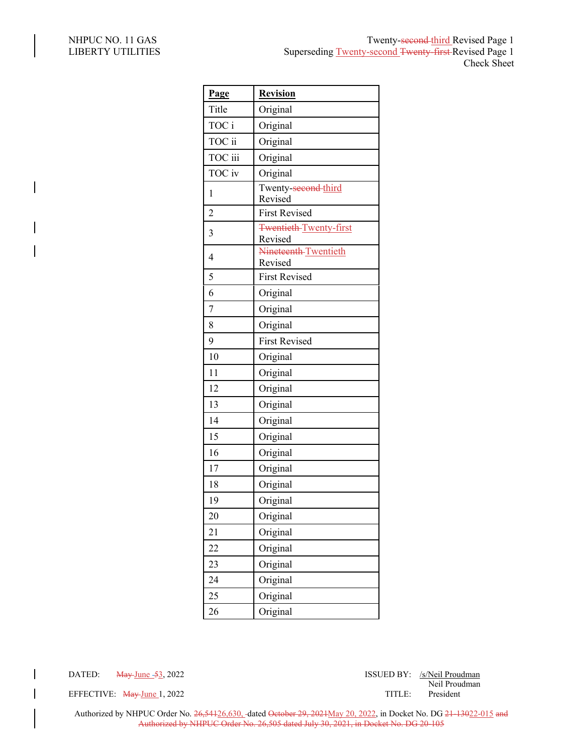| Page           | <b>Revision</b>                          |
|----------------|------------------------------------------|
| Title          | Original                                 |
| TOC i          | Original                                 |
| TOC ii         | Original                                 |
| TOC iii        | Original                                 |
| TOC iv         | Original                                 |
| 1              | Twenty-second-third<br>Revised           |
| $\overline{c}$ | <b>First Revised</b>                     |
| $\overline{3}$ | <b>Twentieth-Twenty-first</b><br>Revised |
| $\overline{4}$ | Nineteenth-Twentieth<br>Revised          |
| 5              | <b>First Revised</b>                     |
| 6              | Original                                 |
| $\overline{7}$ | Original                                 |
| 8              | Original                                 |
| 9              | <b>First Revised</b>                     |
| 10             | Original                                 |
| 11             | Original                                 |
| 12             | Original                                 |
| 13             | Original                                 |
| 14             | Original                                 |
| 15             | Original                                 |
| 16             | Original                                 |
| 17             | Original                                 |
| 18             | Original                                 |
| 19             | Original                                 |
| 20             | Original                                 |
| 21             | Original                                 |
| 22             | Original                                 |
| 23             | Original                                 |
| 24             | Original                                 |
| 25             | Original                                 |
| 26             | Original                                 |

DATED: May June -53, 2022 ISSUED BY: /s/Neil Proudman Neil Proudman

EFFECTIVE:  $\frac{May\_June}{day\_June}1, 2022$  TITLE: President

Authorized by NHPUC Order No. 26,54126,630, -dated October 29, 2021May 20, 2022, in Docket No. DG 21-13022-015 and Authorized by NHPUC Order No. 26,505 dated July 30, 2021, in Docket No. DG 20-105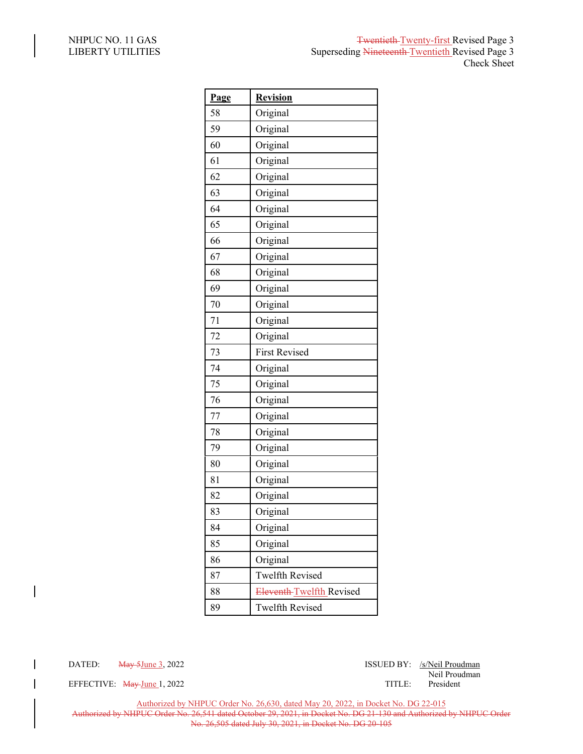| Page | <b>Revision</b>          |
|------|--------------------------|
| 58   | Original                 |
| 59   | Original                 |
| 60   | Original                 |
| 61   | Original                 |
| 62   | Original                 |
| 63   | Original                 |
| 64   | Original                 |
| 65   | Original                 |
| 66   | Original                 |
| 67   | Original                 |
| 68   | Original                 |
| 69   | Original                 |
| 70   | Original                 |
| 71   | Original                 |
| 72   | Original                 |
| 73   | <b>First Revised</b>     |
| 74   | Original                 |
| 75   | Original                 |
| 76   | Original                 |
| 77   | Original                 |
| 78   | Original                 |
| 79   | Original                 |
| 80   | Original                 |
| 81   | Original                 |
| 82   | Original                 |
| 83   | Original                 |
| 84   | Original                 |
| 85   | Original                 |
| 86   | Original                 |
| 87   | <b>Twelfth Revised</b>   |
| 88   | Eleventh-Twelfth Revised |
| 89   | <b>Twelfth Revised</b>   |

 $\overline{\phantom{a}}$ 

EFFECTIVE: May June 1, 2022 TITLE:

DATED: May 5June 3, 2022 ISSUED BY: /s/Neil Proudman Neil Proudman

Authorized by NHPUC Order No. 26,630, dated May 20, 2022, in Docket No. DG 22-015

Authorized by NHPUC Order No. 26,541 dated October 29, 2021, in Docket No. DG 21-130 and Authorized by NHPUC Order No. 26,505 dated July 30, 2021, in Docket No. DG 20-105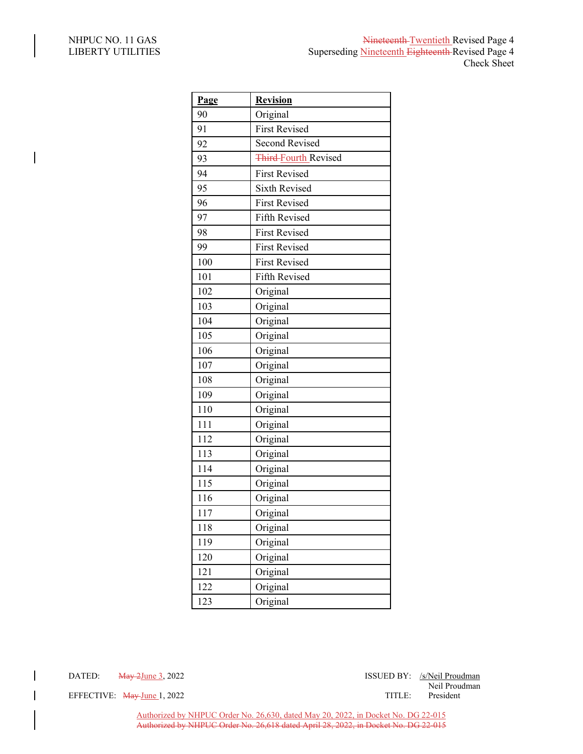$\overline{\phantom{a}}$ 

| Page | <b>Revision</b>             |
|------|-----------------------------|
| 90   | Original                    |
| 91   | <b>First Revised</b>        |
| 92   | Second Revised              |
| 93   | <b>Third-Fourth Revised</b> |
| 94   | <b>First Revised</b>        |
| 95   | <b>Sixth Revised</b>        |
| 96   | <b>First Revised</b>        |
| 97   | Fifth Revised               |
| 98   | <b>First Revised</b>        |
| 99   | <b>First Revised</b>        |
| 100  | <b>First Revised</b>        |
| 101  | Fifth Revised               |
| 102  | Original                    |
| 103  | Original                    |
| 104  | Original                    |
| 105  | Original                    |
| 106  | Original                    |
| 107  | Original                    |
| 108  | Original                    |
| 109  | Original                    |
| 110  | Original                    |
| 111  | Original                    |
| 112  | Original                    |
| 113  | Original                    |
| 114  | Original                    |
| 115  | Original                    |
| 116  | Original                    |
| 117  | Original                    |
| 118  | Original                    |
| 119  | Original                    |
| 120  | Original                    |
| 121  | Original                    |
| 122  | Original                    |
| 123  | Original                    |

DATED: <del>May 2June</del> 3, 2022 **ISSUED BY**: *ISSUED BY*: *ISSUED BY*: *ISSUED BY*: *ISSUED BY*: *ISSUED BY*: *ISSUED BY*: *ISSUED BY*: *ISSUED BY*: *ISSUED BY*: *ISSUED BY*: *ISSUED BY*: *ISSUED BY*: *ISSUED BY*: *ISSUED BY*:

Neil Proudman

EFFECTIVE: May-June 1, 2022 TITLE: President

Authorized by NHPUC Order No. 26,630, dated May 20, 2022, in Docket No. DG 22-015 Authorized by NHPUC Order No. 26,618 dated April 28, 2022, in Docket No. DG 22-015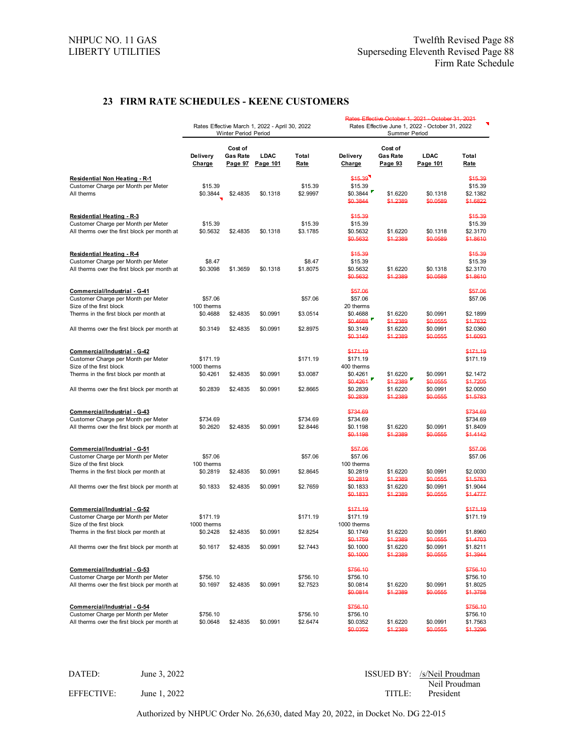## **23 FIRM RATE SCHEDULES - KEENE CUSTOMERS**

|                                                                                           |                     |                                       |                                                |                      |                                                                  |                                       | Rates Effective October 1, 2021 - October 31, 2021 |                                            |
|-------------------------------------------------------------------------------------------|---------------------|---------------------------------------|------------------------------------------------|----------------------|------------------------------------------------------------------|---------------------------------------|----------------------------------------------------|--------------------------------------------|
|                                                                                           |                     | Winter Period Period                  | Rates Effective March 1, 2022 - April 30, 2022 |                      | Rates Effective June 1, 2022 - October 31, 2022<br>Summer Period |                                       |                                                    |                                            |
|                                                                                           | Delivery<br>Charge  | Cost of<br><b>Gas Rate</b><br>Page 97 | LDAC<br>Page 101                               | Total<br><u>Rate</u> | Delivery<br>Charge                                               | Cost of<br><b>Gas Rate</b><br>Page 93 | LDAC<br>Page 101                                   | Total<br><u>Rate</u>                       |
|                                                                                           |                     |                                       |                                                |                      |                                                                  |                                       |                                                    |                                            |
| <b>Residential Non Heating - R-1</b><br>Customer Charge per Month per Meter<br>All therms | \$15.39<br>\$0.3844 | \$2.4835                              | \$0.1318                                       | \$15.39<br>\$2.9997  | \$15.39<br>\$15.39<br>\$0.3844<br>\$0.3844                       | \$1.6220<br>\$1.2389                  | \$0.1318<br>\$0.0589                               | \$15.39<br>\$15.39<br>\$2.1382<br>\$1.6822 |
| <b>Residential Heating - R 3</b>                                                          |                     |                                       |                                                |                      | \$15.39                                                          |                                       |                                                    | \$15.30                                    |
| Customer Charge per Month per Meter                                                       | \$15.39             |                                       |                                                | \$15.39              | \$15.39                                                          |                                       |                                                    | \$15.39                                    |
| All therms over the first block per month at                                              | \$0.5632            | \$2.4835                              | \$0.1318                                       | \$3.1785             | \$0.5632                                                         | \$1.6220                              | \$0.1318                                           | \$2.3170                                   |
|                                                                                           |                     |                                       |                                                |                      | \$0.5632                                                         | \$1,2389                              | \$0.0589                                           | \$1.8610                                   |
| <b>Residential Heating - R4</b>                                                           |                     |                                       |                                                |                      | \$15.39                                                          |                                       |                                                    | \$15.39                                    |
| Customer Charge per Month per Meter                                                       | \$8.47              |                                       |                                                | \$8.47               | \$15.39                                                          |                                       |                                                    | \$15.39                                    |
| All therms over the first block per month at                                              | \$0.3098            | \$1.3659                              | \$0.1318                                       | \$1.8075             | \$0.5632                                                         | \$1.6220                              | \$0.1318                                           | \$2.3170                                   |
|                                                                                           |                     |                                       |                                                |                      | \$0.5632                                                         | \$1,2389                              | \$0.0589                                           | \$1.8610                                   |
| Commercial/Industrial - G-41                                                              |                     |                                       |                                                |                      | \$57.06                                                          |                                       |                                                    | \$57.06                                    |
| Customer Charge per Month per Meter                                                       | \$57.06             |                                       |                                                | \$57.06              | \$57.06                                                          |                                       |                                                    | \$57.06                                    |
| Size of the first block                                                                   | 100 therms          |                                       |                                                |                      | 20 therms                                                        |                                       |                                                    |                                            |
| Therms in the first block per month at                                                    | \$0.4688            | \$2.4835                              | \$0.0991                                       | \$3.0514             | \$0.4688                                                         | \$1.6220                              | \$0.0991                                           | \$2.1899                                   |
|                                                                                           |                     |                                       |                                                |                      | \$0.4688                                                         | \$1.2389                              | \$0.0555                                           | \$1.7632                                   |
| All therms over the first block per month at                                              | \$0.3149            | \$2.4835                              | \$0.0991                                       | \$2.8975             | \$0.3149<br>\$0.3149                                             | \$1.6220<br>\$1.2389                  | \$0.0991<br>\$0.0555                               | \$2.0360<br>\$1.6003                       |
|                                                                                           |                     |                                       |                                                |                      | \$171.19                                                         |                                       |                                                    |                                            |
| Commercial/Industrial - G-42                                                              | \$171.19            |                                       |                                                | \$171.19             | \$171.19                                                         |                                       |                                                    | \$171.19                                   |
| Customer Charge per Month per Meter<br>Size of the first block                            | 1000 therms         |                                       |                                                |                      | 400 therms                                                       |                                       |                                                    | \$171.19                                   |
| Therms in the first block per month at                                                    | \$0.4261            | \$2.4835                              | \$0.0991                                       | \$3.0087             | \$0.4261                                                         | \$1.6220                              | \$0.0991                                           | \$2.1472                                   |
|                                                                                           |                     |                                       |                                                |                      | \$0.4261                                                         | \$1,2389                              | \$0.0555                                           | \$1.7205                                   |
| All therms over the first block per month at                                              | \$0.2839            | \$2.4835                              | \$0.0991                                       | \$2.8665             | \$0.2839                                                         | \$1.6220                              | \$0.0991                                           | \$2.0050                                   |
|                                                                                           |                     |                                       |                                                |                      | \$0.2839                                                         | \$1.2389                              | \$0.0555                                           | \$1.5783                                   |
| Commercial/Industrial - G-43                                                              |                     |                                       |                                                |                      | \$734.69                                                         |                                       |                                                    | \$734.69                                   |
| Customer Charge per Month per Meter                                                       | \$734.69            |                                       |                                                | \$734.69             | \$734.69                                                         |                                       |                                                    | \$734.69                                   |
| All therms over the first block per month at                                              | \$0.2620            | \$2.4835                              | \$0.0991                                       | \$2.8446             | \$0.1198                                                         | \$1.6220                              | \$0.0991                                           | \$1.8409                                   |
|                                                                                           |                     |                                       |                                                |                      | \$0.1198                                                         | \$1,2389                              | \$0.0555                                           | \$1.4142                                   |
| Commercial/Industrial - G-51                                                              |                     |                                       |                                                |                      | \$57.06                                                          |                                       |                                                    | \$57.06                                    |
| Customer Charge per Month per Meter                                                       | \$57.06             |                                       |                                                | \$57.06              | \$57.06                                                          |                                       |                                                    | \$57.06                                    |
| Size of the first block                                                                   | 100 therms          |                                       |                                                |                      | 100 therms                                                       |                                       |                                                    |                                            |
| Therms in the first block per month at                                                    | \$0.2819            | \$2.4835                              | \$0.0991                                       | \$2.8645             | \$0.2819                                                         | \$1.6220                              | \$0.0991                                           | \$2.0030                                   |
| All therms over the first block per month at                                              |                     |                                       |                                                |                      | \$0.2819                                                         | \$1.2389                              | \$0.0555                                           | \$1.5763                                   |
|                                                                                           | \$0.1833            | \$2.4835                              | \$0.0991                                       | \$2.7659             | \$0.1833<br>\$0.1833                                             | \$1.6220<br>\$1,2389                  | \$0.0991<br>\$0.0555                               | \$1.9044<br>\$1,4777                       |
|                                                                                           |                     |                                       |                                                |                      | \$171.19                                                         |                                       |                                                    | \$171.19                                   |
| Commercial/Industrial - G-52<br>Customer Charge per Month per Meter                       | \$171.19            |                                       |                                                | \$171.19             | \$171.19                                                         |                                       |                                                    | \$171.19                                   |
| Size of the first block                                                                   | 1000 therms         |                                       |                                                |                      | 1000 therms                                                      |                                       |                                                    |                                            |
| Therms in the first block per month at                                                    | \$0.2428            | \$2.4835                              | \$0.0991                                       | \$2.8254             | \$0.1749                                                         | \$1.6220                              | \$0.0991                                           | \$1.8960                                   |
|                                                                                           |                     |                                       |                                                |                      | \$0.1759                                                         | \$1,2389                              | \$0.0555                                           | \$1,4703                                   |
| All therms over the first block per month at                                              | \$0.1617            | \$2.4835                              | \$0.0991                                       | \$2.7443             | \$0.1000                                                         | \$1.6220                              | \$0.0991                                           | \$1.8211                                   |
|                                                                                           |                     |                                       |                                                |                      | \$0.1000                                                         | \$1.2389                              | \$0.0555                                           | \$1,3944                                   |
| Commercial/Industrial - G-53                                                              |                     |                                       |                                                |                      | \$756.10                                                         |                                       |                                                    | \$756.10                                   |
| Customer Charge per Month per Meter                                                       | \$756.10            |                                       |                                                | \$756.10             | \$756.10                                                         |                                       |                                                    | \$756.10                                   |
| All therms over the first block per month at                                              | \$0.1697            | \$2.4835                              | \$0.0991                                       | \$2.7523             | \$0.0814                                                         | \$1.6220                              | \$0.0991                                           | \$1.8025                                   |
|                                                                                           |                     |                                       |                                                |                      | \$0.0814                                                         | \$1,2389                              | \$0.0555                                           | \$1,3758                                   |
| Commercial/Industrial - G-54                                                              |                     |                                       |                                                |                      | \$756.10                                                         |                                       |                                                    | \$756.10                                   |
| Customer Charge per Month per Meter                                                       | \$756.10            |                                       |                                                | \$756.10             | \$756.10                                                         |                                       |                                                    | \$756.10                                   |
| All therms over the first block per month at                                              | \$0.0648            | \$2.4835                              | \$0.0991                                       | \$2.6474             | \$0.0352                                                         | \$1.6220                              | \$0.0991                                           | \$1.7563                                   |
|                                                                                           |                     |                                       |                                                |                      | \$0.0352                                                         | \$1.2389                              | \$0.0555                                           | \$1.3296                                   |

| DATED:     | June 3, 2022 |        | ISSUED BY: /s/Neil Proudman |
|------------|--------------|--------|-----------------------------|
| EFFECTIVE: | June 1, 2022 | TITLE: | Neil Proudman<br>President  |
|            |              |        |                             |